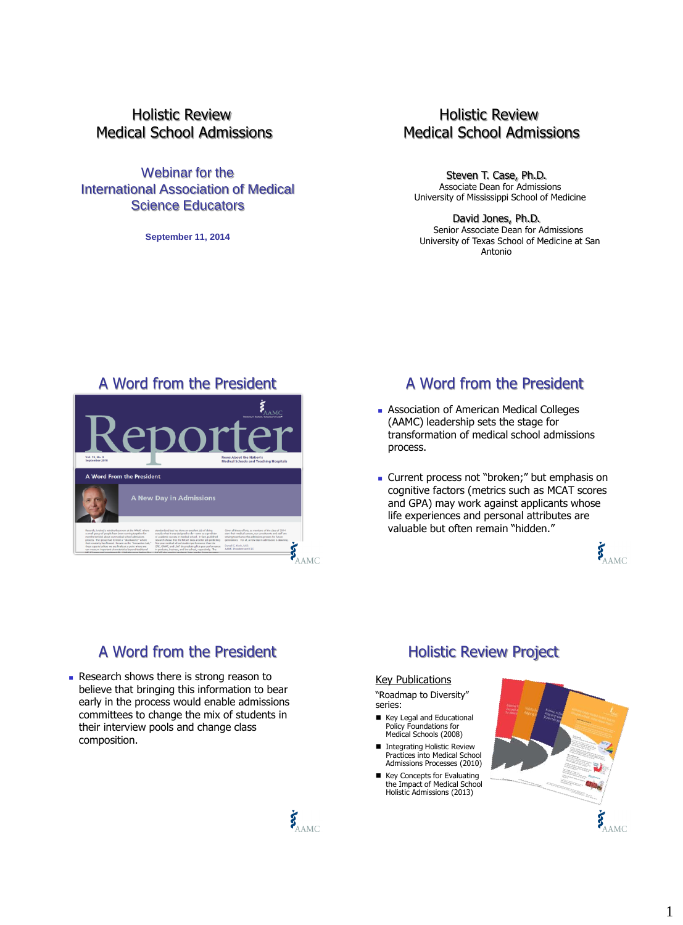Holistic Review Medical School Admissions

Webinar for the International Association of Medical Science Educators

**September 11, 2014**

## Holistic Review Medical School Admissions

Steven T. Case, Ph.D. Associate Dean for Admissions University of Mississippi School of Medicine

David Jones, Ph.D. Senior Associate Dean for Admissions University of Texas School of Medicine at San Antonio

#### A Word from the President



# A Word from the President

- **Association of American Medical Colleges** (AAMC) leadership sets the stage for transformation of medical school admissions process.
- **Current process not "broken;" but emphasis on** cognitive factors (metrics such as MCAT scores and GPA) may work against applicants whose life experiences and personal attributes are valuable but often remain "hidden."

E AAMC

# A Word from the President Holistic Review Project

Research shows there is strong reason to believe that bringing this information to bear early in the process would enable admissions committees to change the mix of students in their interview pools and change class composition.



#### Key Publications

"Roadmap to Diversity" series:

- Key Legal and Educational Policy Foundations for Medical Schools (2008)
- Integrating Holistic Review Practices into Medical School Admissions Processes (2010)
- Key Concepts for Evaluating the Impact of Medical School Holistic Admissions (2013)

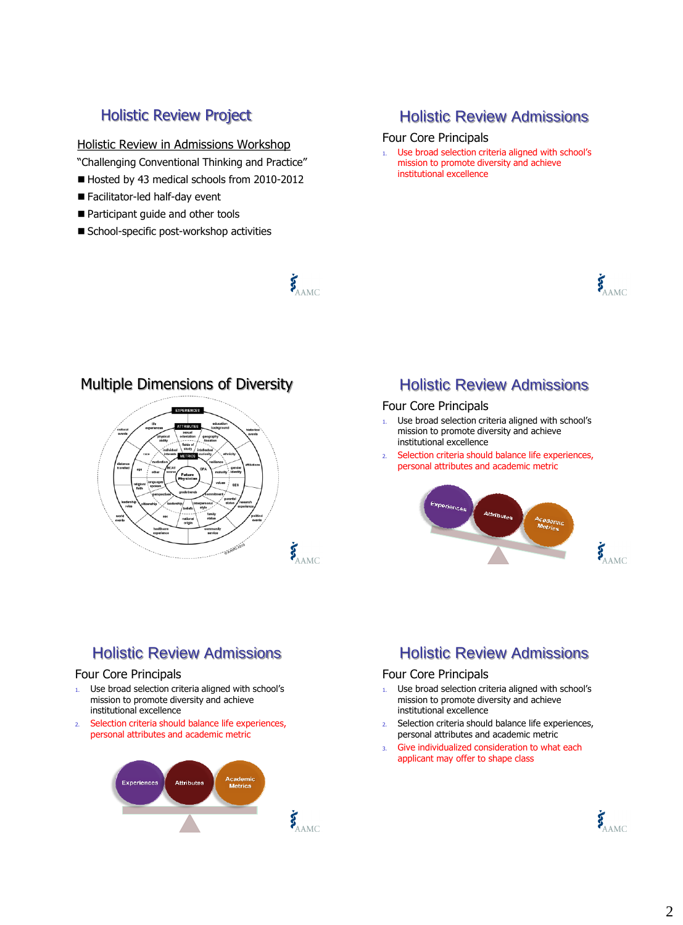#### Holistic Review in Admissions Workshop

"Challenging Conventional Thinking and Practice"

Hosted by 43 medical schools from 2010-2012

 $\boldsymbol{\xi}_{\text{AMC}}$ 

- Facilitator-led half-day event
- Participant guide and other tools
- School-specific post-workshop activities

## Holistic Review Project **Holistic Review Admissions**

#### Four Core Principals

1. Use broad selection criteria aligned with school's mission to promote diversity and achieve institutional excellence



### Multiple Dimensions of Diversity



### Holistic Review Admissions

#### Four Core Principals

- 1. Use broad selection criteria aligned with school's mission to promote diversity and achieve institutional excellence
- 2. Selection criteria should balance life experiences, personal attributes and academic metric



# Holistic Review Admissions

#### Four Core Principals

- 1. Use broad selection criteria aligned with school's mission to promote diversity and achieve institutional excellence
- 2. Selection criteria should balance life experiences, personal attributes and academic metric



# Holistic Review Admissions

#### Four Core Principals

- 1. Use broad selection criteria aligned with school's mission to promote diversity and achieve institutional excellence
- 2. Selection criteria should balance life experiences, personal attributes and academic metric
- 3. Give individualized consideration to what each applicant may offer to shape class

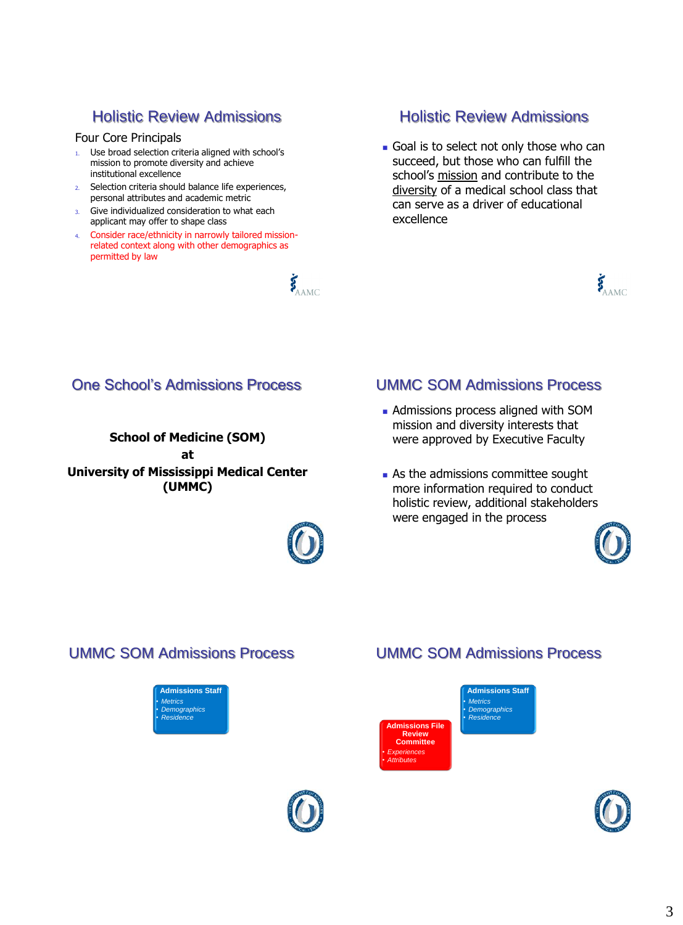# Holistic Review Admissions

#### Four Core Principals

- 1. Use broad selection criteria aligned with school's mission to promote diversity and achieve institutional excellence
- 2. Selection criteria should balance life experiences, personal attributes and academic metric
- 3. Give individualized consideration to what each applicant may offer to shape class
- 4. Consider race/ethnicity in narrowly tailored missionrelated context along with other demographics as permitted by law



## Holistic Review Admissions

Goal is to select not only those who can succeed, but those who can fulfill the school's mission and contribute to the diversity of a medical school class that can serve as a driver of educational excellence



# One School's Admissions Process

**School of Medicine (SOM) at**

**University of Mississippi Medical Center (UMMC)**



## UMMC SOM Admissions Process

- **Admissions process aligned with SOM** mission and diversity interests that were approved by Executive Faculty
- **As the admissions committee sought** more information required to conduct holistic review, additional stakeholders were engaged in the process



### UMMC SOM Admissions Process

**Admissions Staff** • *Metrics* • *Demographics* • *Residence*







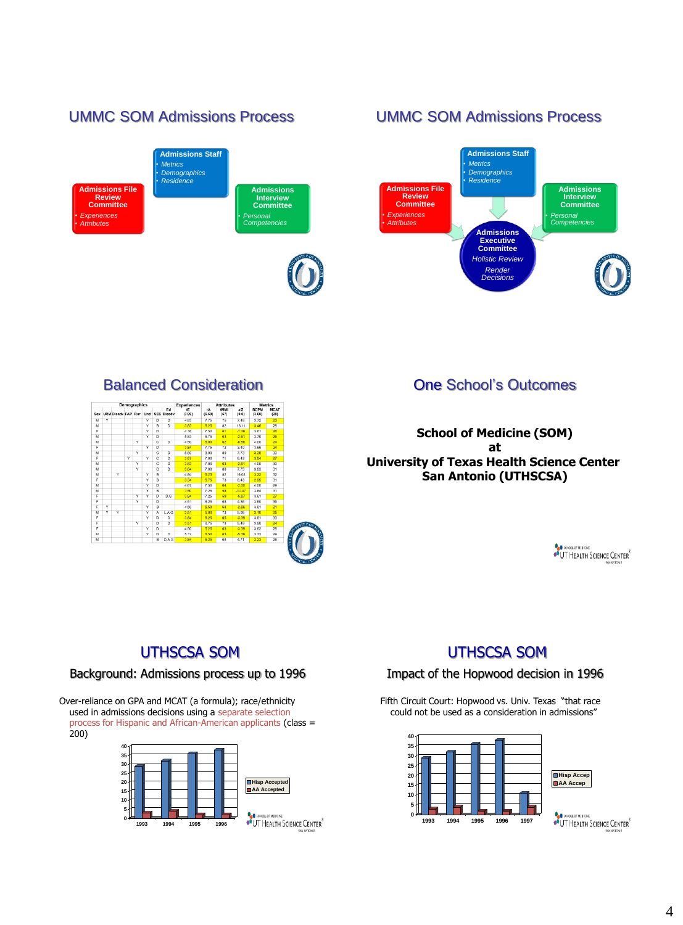

| Demographics |   |                            |   |   |   |                |                         | <b>Experiences</b> | <b>Attributes</b> |              |                           | <b>Metrics</b>        |                     |
|--------------|---|----------------------------|---|---|---|----------------|-------------------------|--------------------|-------------------|--------------|---------------------------|-----------------------|---------------------|
|              |   | Sex URM Disady FAP Rur Und |   |   |   |                | Ed<br><b>SES Disady</b> | tE.<br>(3.99)      | tA<br>(6.69)      | tMMI<br>(67) | all <sup>T</sup><br>(0.0) | <b>BCPM</b><br>(3.60) | <b>MCAT</b><br>(28) |
| M            | v |                            |   |   | v | D              | D                       | 4.83               | 7.75              | 75           | 7.49                      | 3.72                  | 23                  |
| M            |   |                            |   |   | v | $\overline{R}$ | D                       | 3.83               | 6.25              | 82           | 13.11                     | 3.46                  | 28                  |
| F            |   |                            |   |   | v | D              |                         | 4.16               | 7.50              | 61           | $-7.39$                   | 3.61                  | 26                  |
| M            |   |                            |   |   | Y | n              |                         | 5.83               | 6.75              | 63           | $-2.61$                   | 3.70                  | 26                  |
| M            |   |                            |   | Y |   | c              | D                       | 4.50               | 6.00              | 62           | $-8.56$                   | 4.00                  | 24                  |
| ×            |   |                            |   |   | v | n              |                         | 3.84               | 7.75              | 72           | 3.40                      | 3.66                  | 24                  |
| M            |   |                            |   | v |   | c              | D                       | 5.50               | 8.00              | 80           | 7.73                      | 3.38                  | 33                  |
| $\mathbf{r}$ |   |                            | v |   | v | c              | D                       | 3.67               | 7.00              | 71           | 6.43                      | 3.54                  | 27                  |
| M            |   |                            |   | v |   | c              | D                       | 3.83               | 7.00              | 63           | $-2.61$                   | 4.00                  | 30                  |
| M            |   |                            |   | Ÿ |   | $\overline{c}$ | $\overline{D}$          | 3.84               | 7.00              | RO           | 7.73                      | 3.83                  | 31                  |
| M            |   | Ÿ                          |   |   | v | $\overline{R}$ |                         | 4.84               | 6.25              | 82           | 16.08                     | 3.22                  | 32                  |
| F            |   |                            |   |   | Y | $\overline{R}$ |                         | 3.34               | 5.75              | 73           | 8.43                      | 2.95                  | 31                  |
| M            |   |                            |   |   | v | $\overline{D}$ |                         | 4.67               | 7.50              | 64           | $-2.00$                   | 4.00                  | 29                  |
| M            |   |                            |   |   | Ÿ | $\overline{B}$ |                         | 3.50               | 7.25              | 58           | $-10.47$                  | 3.84                  | 31                  |
| F            |   |                            |   | v | v | $\overline{D}$ | D.G                     | 3.84               | 7.25              | 59           | $-5.87$                   | 3.61                  | 27                  |
| F            |   |                            |   | Y |   | D              |                         | 4.51               | 8.25              | 68           | 4.36                      | 3.60                  | 39                  |
| F            | v |                            |   |   | v | B              |                         | 4.50               | 6.50              | 64           | $-2.66$                   | 3.61                  | 21                  |
| M            | v | v                          |   |   | Y | ٨              | L.A.G                   | 3.51               | 5.00              | 73           | 5.95                      | 3.10                  | 25                  |
| F            |   |                            |   |   | v | $\overline{D}$ | D                       | 3.84               | 6.25              | 65           | $-3.39$                   | 3.61                  | 33                  |
| F            |   |                            |   | Y |   | D              | D                       | 3.51               | 6.75              | 73           | 5.49                      | 3.90                  | 24                  |
| F            |   |                            |   |   | v | n              |                         | 4.50               | 5.25              | 63           | $-3.39$                   | 3.62                  | 28                  |
| M            |   |                            |   |   | Y | D              | D                       | 5.17               | 6.50              | 63           | $-5.39$                   | 3.73                  | 29                  |
| M            |   |                            |   |   |   | B              | D.A.G                   | 3.84               | 6.25              | 68           | 4.71                      | 3.23                  | 28                  |

## **Balanced Consideration Construction One School's Outcomes**

**School of Medicine (SOM) at University of Texas Health Science Center San Antonio (UTHSCSA)**

OF SCROCK OF MEDICINE<br>
OUT HEALTH SCIENCE CENTER

# UTHSCSA SOM

#### Background: Admissions process up to 1996

Over-reliance on GPA and MCAT (a formula); race/ethnicity used in admissions decisions using a separate selection process for Hispanic and African-American applicants (class = 200)



# UTHSCSA SOM

#### Impact of the Hopwood decision in 1996

Fifth Circuit Court: Hopwood vs. Univ. Texas "that race could not be used as a consideration in admissions"



OF SCREED WEBSINE

# 4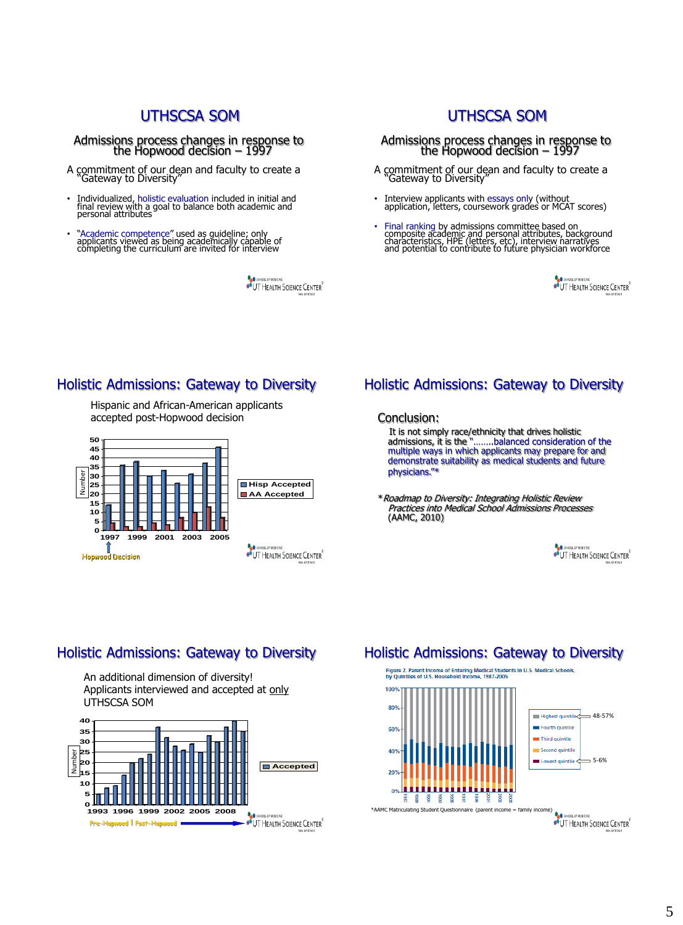## UTHSCSA SOM

Admissions process changes in response to the Hopwood decision – 1997

- A commitment of our dean and faculty to create a "Gateway to Diversity"
- Individualized, holistic evaluation included in initial and final review with a goal to balance both academic and personal attributes
- "Academic competence" used as guideline; only applicants viewed as being academically capable of completing the curriculum are invited for interview

OUT HEALTH SCIENCE CENTER

## UTHSCSA SOM

Admissions process changes in response to the Hopwood decision – 1997

- A commitment of our dean and faculty to create a "Gateway to Diversity"
- Interview applicants with essays only (without application, letters, coursework grades or MCAT scores)
- Final ranking by admissions committee based on composite academic and personal attributes, background characteristics, HPE (letters, etc), interview narratives and potential to contribute to future physician workforce

OF SCHOOL OF MEDICINE<br>OF UT HEALTH SCIENCE CENTER

#### Holistic Admissions: Gateway to Diversity

Hispanic and African-American applicants accepted post-Hopwood decision conclusion: Conclusion:



## Holistic Admissions: Gateway to Diversity

 It is not simply race/ethnicity that drives holistic admissions, it is the "……..balanced consideration of the multiple ways in which applicants may prepare for and demonstrate suitability as medical students and future physicians."\*

\*Roadmap to Diversity: Integrating Holistic Review Practices into Medical School Admissions Processes (AAMC, 2010)



### Holistic Admissions: Gateway to Diversity

An additional dimension of diversity! Applicants interviewed and accepted at only UTHSCSA SOM



## Holistic Admissions: Gateway to Diversity

.<br>Figure 2. Parent Income of Entering Medical Students in U.S. Medical Schools,<br>by Quintiles of U.S. Household Income, 1987-2005